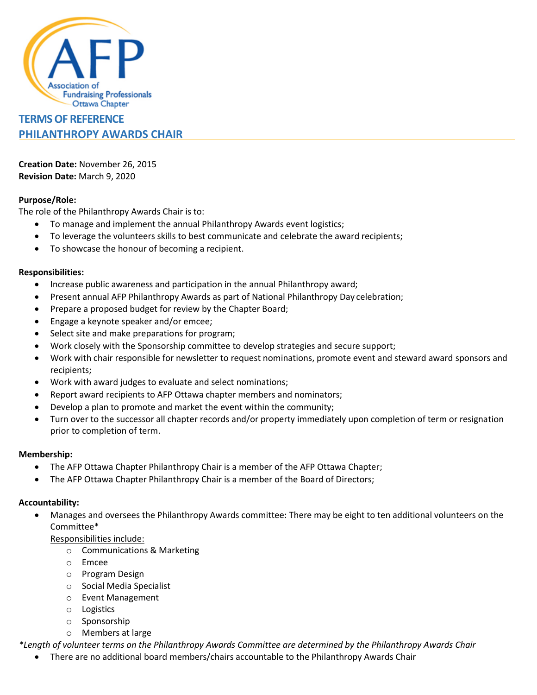

# **TERMS OF REFERENCE PHILANTHROPY AWARDS CHAIR**

**Creation Date:** November 26, 2015 **Revision Date:** March 9, 2020

## **Purpose/Role:**

The role of the Philanthropy Awards Chair is to:

- To manage and implement the annual Philanthropy Awards event logistics;
- To leverage the volunteers skills to best communicate and celebrate the award recipients;
- To showcase the honour of becoming a recipient.

### **Responsibilities:**

- Increase public awareness and participation in the annual Philanthropy award;
- Present annual AFP Philanthropy Awards as part of National Philanthropy Day celebration;
- Prepare a proposed budget for review by the Chapter Board;
- Engage a keynote speaker and/or emcee;
- Select site and make preparations for program;
- Work closely with the Sponsorship committee to develop strategies and secure support;
- Work with chair responsible for newsletter to request nominations, promote event and steward award sponsors and recipients;
- Work with award judges to evaluate and select nominations;
- Report award recipients to AFP Ottawa chapter members and nominators;
- Develop a plan to promote and market the event within the community;
- Turn over to the successor all chapter records and/or property immediately upon completion of term or resignation prior to completion of term.

#### **Membership:**

- The AFP Ottawa Chapter Philanthropy Chair is a member of the AFP Ottawa Chapter;
- The AFP Ottawa Chapter Philanthropy Chair is a member of the Board of Directors;

#### **Accountability:**

• Manages and oversees the Philanthropy Awards committee: There may be eight to ten additional volunteers on the Committee\*

Responsibilities include:

- o Communications & Marketing
- o Emcee
- o Program Design
- o Social Media Specialist
- o Event Management
- o Logistics
- o Sponsorship
- o Members at large

*\*Length of volunteer terms on the Philanthropy Awards Committee are determined by the Philanthropy Awards Chair*

• There are no additional board members/chairs accountable to the Philanthropy Awards Chair